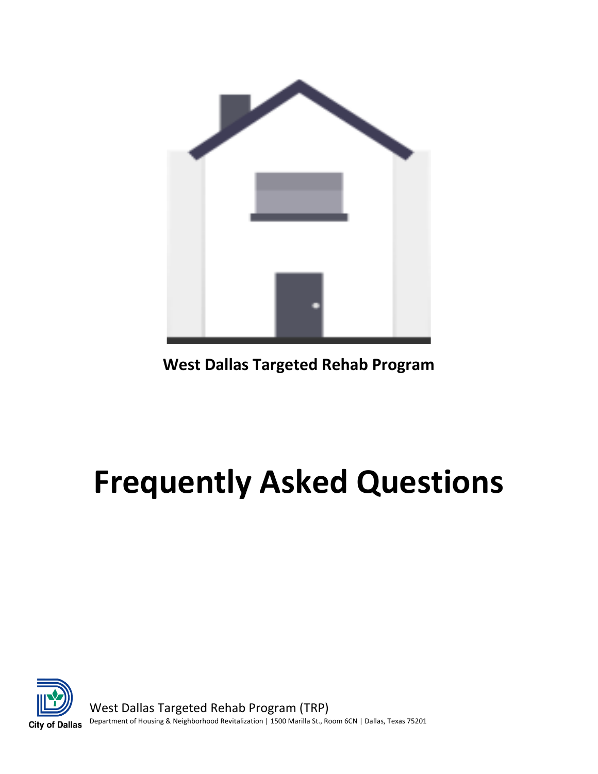

**West Dallas Targeted Rehab Program**

# **Frequently Asked Questions**



West Dallas Targeted Rehab Program (TRP) Department of Housing & Neighborhood Revitalization | 1500 Marilla St., Room 6CN | Dallas, Texas 75201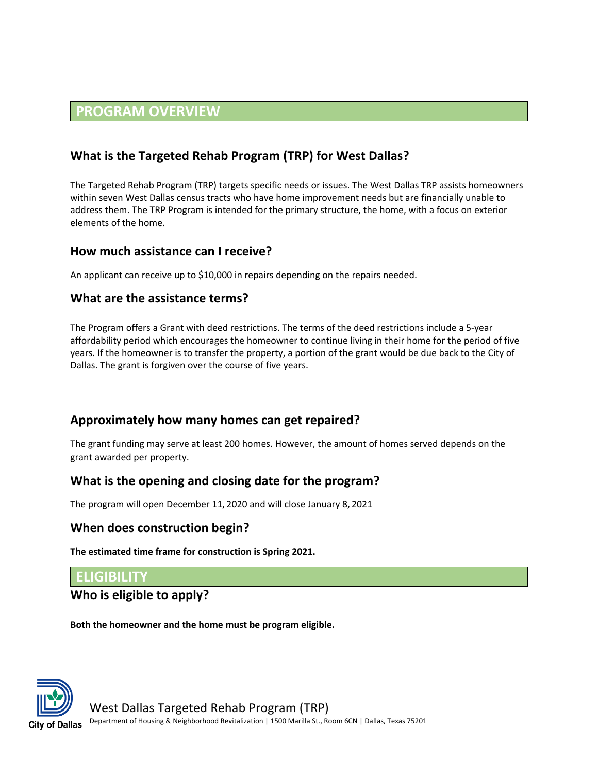# **PROGRAM OVERVIEW**

# **What is the Targeted Rehab Program (TRP) for West Dallas?**

The Targeted Rehab Program (TRP) targets specific needs or issues. The West Dallas TRP assists homeowners within seven West Dallas census tracts who have home improvement needs but are financially unable to address them. The TRP Program is intended for the primary structure, the home, with a focus on exterior elements of the home.

#### **How much assistance can I receive?**

An applicant can receive up to \$10,000 in repairs depending on the repairs needed.

#### **What are the assistance terms?**

The Program offers a Grant with deed restrictions. The terms of the deed restrictions include a 5-year affordability period which encourages the homeowner to continue living in their home for the period of five years. If the homeowner is to transfer the property, a portion of the grant would be due back to the City of Dallas. The grant is forgiven over the course of five years.

#### **Approximately how many homes can get repaired?**

The grant funding may serve at least 200 homes. However, the amount of homes served depends on the grant awarded per property.

#### **What is the opening and closing date for the program?**

The program will open December 11, 2020 and will close January 8, 2021

#### **When does construction begin?**

**The estimated time frame for construction is Spring 2021.** 

#### **ELIGIBILITY**

#### **Who is eligible to apply?**

**Both the homeowner and the home must be program eligible.** 

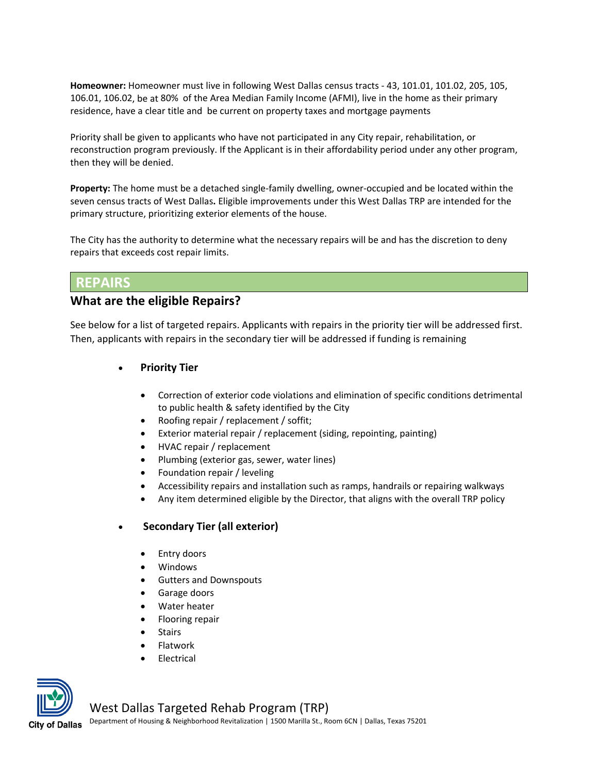**Homeowner:** Homeowner must live in following West Dallas census tracts - 43, 101.01, 101.02, 205, 105, 106.01, 106.02, be at 80% of the Area Median Family Income (AFMI), live in the home as their primary residence, have a clear title and be current on property taxes and mortgage payments

Priority shall be given to applicants who have not participated in any City repair, rehabilitation, or reconstruction program previously. If the Applicant is in their affordability period under any other program, then they will be denied.

**Property:** The home must be a detached single-family dwelling, owner-occupied and be located within the seven census tracts of West Dallas**.** Eligible improvements under this West Dallas TRP are intended for the primary structure, prioritizing exterior elements of the house.

The City has the authority to determine what the necessary repairs will be and has the discretion to deny repairs that exceeds cost repair limits.

#### **REPAIRS**

#### **What are the eligible Repairs?**

See below for a list of targeted repairs. Applicants with repairs in the priority tier will be addressed first. Then, applicants with repairs in the secondary tier will be addressed if funding is remaining

- **Priority Tier**
	- Correction of exterior code violations and elimination of specific conditions detrimental to public health & safety identified by the City
	- Roofing repair / replacement / soffit;
	- Exterior material repair / replacement (siding, repointing, painting)
	- HVAC repair / replacement
	- Plumbing (exterior gas, sewer, water lines)
	- Foundation repair / leveling
	- Accessibility repairs and installation such as ramps, handrails or repairing walkways
	- Any item determined eligible by the Director, that aligns with the overall TRP policy

#### • **Secondary Tier (all exterior)**

- Entry doors
- Windows
- Gutters and Downspouts
- Garage doors
- Water heater
- Flooring repair
- **Stairs**
- Flatwork
- **Flectrical**



#### West Dallas Targeted Rehab Program (TRP)

Department of Housing & Neighborhood Revitalization | 1500 Marilla St., Room 6CN | Dallas, Texas 75201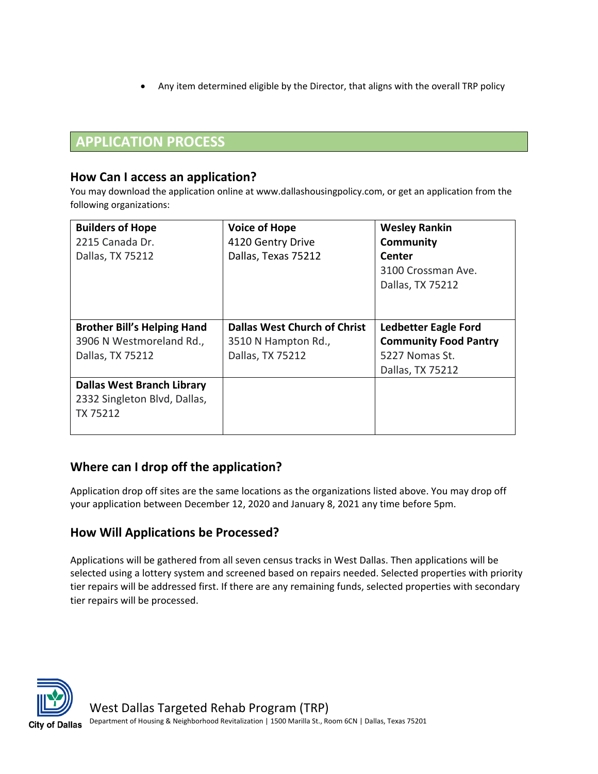• Any item determined eligible by the Director, that aligns with the overall TRP policy

# **APPLICATION PROCESS**

#### **How Can I access an application?**

You may download the application online at www.dallashousingpolicy.com, or get an application from the following organizations:

| <b>Builders of Hope</b>            | <b>Voice of Hope</b>                | <b>Wesley Rankin</b>         |
|------------------------------------|-------------------------------------|------------------------------|
| 2215 Canada Dr.                    | 4120 Gentry Drive                   | <b>Community</b>             |
| Dallas, TX 75212                   | Dallas, Texas 75212                 | Center                       |
|                                    |                                     | 3100 Crossman Ave.           |
|                                    |                                     | Dallas, TX 75212             |
|                                    |                                     |                              |
|                                    |                                     |                              |
| <b>Brother Bill's Helping Hand</b> | <b>Dallas West Church of Christ</b> | <b>Ledbetter Eagle Ford</b>  |
| 3906 N Westmoreland Rd.,           | 3510 N Hampton Rd.,                 | <b>Community Food Pantry</b> |
| Dallas, TX 75212                   | Dallas, TX 75212                    | 5227 Nomas St.               |
|                                    |                                     | Dallas, TX 75212             |
| <b>Dallas West Branch Library</b>  |                                     |                              |
| 2332 Singleton Blvd, Dallas,       |                                     |                              |
| TX 75212                           |                                     |                              |
|                                    |                                     |                              |

## **Where can I drop off the application?**

Application drop off sites are the same locations as the organizations listed above. You may drop off your application between December 12, 2020 and January 8, 2021 any time before 5pm.

## **How Will Applications be Processed?**

Applications will be gathered from all seven census tracks in West Dallas. Then applications will be selected using a lottery system and screened based on repairs needed. Selected properties with priority tier repairs will be addressed first. If there are any remaining funds, selected properties with secondary tier repairs will be processed.